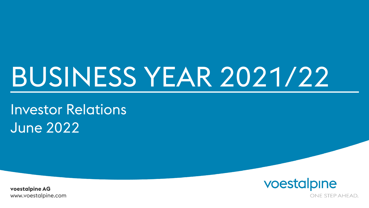## BUSINESS YEAR 2021/22

Investor Relations June 2022

voestalpine

www.voestalpine.com **voestalpine AG**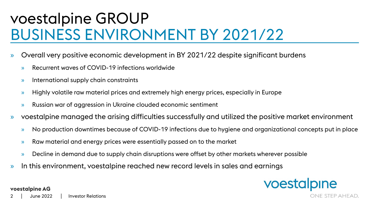### voestalpine GROUP BUSINESS ENVIRONMENT BY 2021/22

- » Overall very positive economic development in BY 2021/22 despite significant burdens
	- » Recurrent waves of COVID-19 infections worldwide
	- » International supply chain constraints
	- » Highly volatile raw material prices and extremely high energy prices, especially in Europe
	- » Russian war of aggression in Ukraine clouded economic sentiment
- » voestalpine managed the arising difficulties successfully and utilized the positive market environment
	- » No production downtimes because of COVID-19 infections due to hygiene and organizational concepts put in place
	- » Raw material and energy prices were essentially passed on to the market
	- » Decline in demand due to supply chain disruptions were offset by other markets wherever possible
- » In this environment, voestalpine reached new record levels in sales and earnings



June 2022 2 | June 2022 | Investor Relations

**voestalpine AG**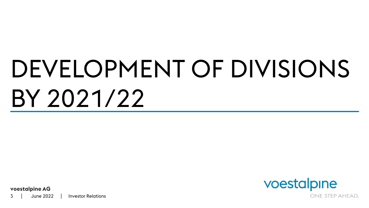## DEVELOPMENT OF DIVISIONS BY 2021/22

voestalpine ONE STEP AHEAD.

**voestalpine AG**

June 2022 3 June 2022 Investor Relations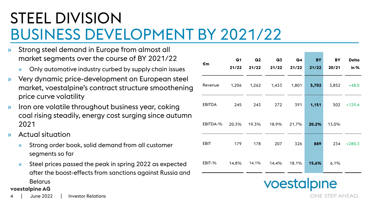### STEEL DIVISION BUSINESS DEVELOPMENT BY 2021/22

- » Strong steel demand in Europe from almost all market segments over the course of BY 2021/22
	- » Only automotive industry curbed by supply chain issues
- » Very dynamic price-development on European steel market, voestalpine's contract structure smoothening price curve volatility
- » Iron ore volatile throughout business year, coking coal rising steadily, energy cost surging since autumn 2021
- » Actual situation
	- » Strong order book, solid demand from all customer segments so far
	- » Steel prices passed the peak in spring 2022 as expected after the boost-effects from sanctions against Russia and Belarus

#### **voestalpine AG**

| €m            | Q1<br>21/22 | Q <sub>2</sub><br>21/22 | Q <sub>3</sub><br>21/22 | Q <sub>4</sub><br>21/22 | <b>BY</b><br>21/22 | BY<br>20/21 | <b>Delta</b><br>in $%$ |
|---------------|-------------|-------------------------|-------------------------|-------------------------|--------------------|-------------|------------------------|
| Revenue       | 1,206       | 1,262                   | 1,433                   | 1,801                   | 5,702              | 3,852       | $+48.0$                |
| <b>EBITDA</b> | 245         | 243                     | 272                     | 391                     | 1,151              | 502         | $+129.4$               |
| EBITDA-%      | 20.3%       | 19.3%                   | 18.9%                   | 21.7%                   | 20.2%              | 13.0%       |                        |
| <b>EBIT</b>   | 179         | 178                     | 207                     | 326                     | 889                | 234         | $+280.3$               |
| EBIT-%        | 14.8%       | 14.1%                   | 14.4%                   | 18.1%                   | 15.6%              | 6.1%        |                        |

ONE STEP AHEAD.

voestalpine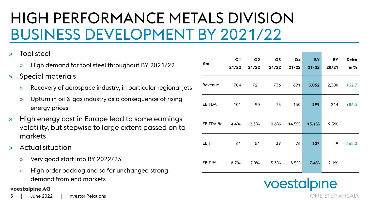### HIGH PERFORMANCE METALS DIVISION BUSINESS DEVELOPMENT BY 2021/22

- » Tool steel
	- » High demand for tool steel throughout BY 2021/22
- » Special materials
	- » Recovery of aerospace industry, in particular regional jets
	- » Upturn in oil & gas industry as a consequence of rising energy prices
- » High energy cost in Europe lead to some earnings volatility, but stepwise to large extent passed on to markets
- » Actual situation
	- » Very good start into BY 2022/23
	- » High order backlog and so far unchanged strong demand from end markets

#### **voestalpine AG**

| €m            | Q <sub>1</sub><br>21/22 | Q <sub>2</sub><br>21/22 | Q <sub>3</sub><br>21/22 | Q4<br>21/22 | <b>BY</b><br>21/22 | BY<br>20/21 | <b>Delta</b><br>in % |
|---------------|-------------------------|-------------------------|-------------------------|-------------|--------------------|-------------|----------------------|
| Revenue       | 704                     | 721                     | 736                     | 891         | 3,052              | 2,300       | $+32.7$              |
| <b>EBITDA</b> | 101                     | 90                      | 78                      | 130         | 399                | 214         | $+86.3$              |
| EBITDA-%      | 14.4%                   | 12.5%                   | 10.6%                   | 14.5%       | 13.1%              | 9.3%        |                      |
| <b>EBIT</b>   | 61                      | 51                      | 39                      | 76          | 227                | 49          | $+365.0$             |
| EBIT-%        | 8.7%                    | 7.0%                    | 5.3%                    | 8.5%        | 7.4%               | 2.1%        |                      |

voestalpine ONE STEP AHEAD.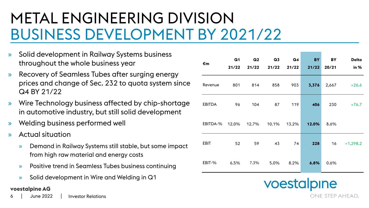### METAL ENGINEERING DIVISION BUSINESS DEVELOPMENT BY 2021/22

- » Solid development in Railway Systems business throughout the whole business year
- » Recovery of Seamless Tubes after surging energy prices and change of Sec. 232 to quota system since Q4 BY 21/22
- » Wire Technology business affected by chip-shortage in automotive industry, but still solid development
- » Welding business performed well
- » Actual situation
	- » Demand in Railway Systems still stable, but some impact from high raw material and energy costs
	- » Positive trend in Seamless Tubes business continuing
	- » Solid development in Wire and Welding in Q1

#### **voestalpine AG**

June 2022 6 June 2022 Investor Relations

| €m            | Q <sub>1</sub><br>21/22 | Q <sub>2</sub><br>21/22 | Q <sub>3</sub><br>21/22 | Q <sub>4</sub><br>21/22 | <b>BY</b><br>21/22 | BY<br>20/21 | <b>Delta</b><br>in % |
|---------------|-------------------------|-------------------------|-------------------------|-------------------------|--------------------|-------------|----------------------|
| Revenue       | 801                     | 814                     | 858                     | 903                     | 3,376              | 2,667       | $+26.6$              |
| <b>EBITDA</b> | 96                      | 104                     | 87                      | 119                     | 406                | 230         | $+76.7$              |
| EBITDA-%      | 12.0%                   | 12.7%                   | 10.1%                   | 13.2%                   | 12.0%              | 8.6%        |                      |
| <b>EBIT</b>   | 52                      | 59                      | 43                      | 74                      | 228                | 16          | $+1,298.2$           |
| EBIT-%        | 6.5%                    | 7.3%                    | 5.0%                    | 8.2%                    | 6.8%               | 0.6%        |                      |

voestalpine ONE STEP AHEAD.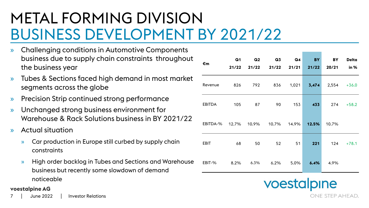### METAL FORMING DIVISION BUSINESS DEVELOPMENT BY 2021/22

- » Challenging conditions in Automotive Components business due to supply chain constraints throughout the business year
- » Tubes & Sections faced high demand in most market segments across the globe
- » Precision Strip continued strong performance
- » Unchanged strong business environment for Warehouse & Rack Solutions business in BY 2021/22
- » Actual situation
	- » Car production in Europe still curbed by supply chain constraints
	- » High order backlog in Tubes and Sections and Warehouse business but recently some slowdown of demand noticeable

#### **voestalpine AG**

June 2022 7 June 2022 Investor Relations

| €m            | Q <sub>1</sub><br>21/22 | Q2<br>21/22 | Q <sub>3</sub><br>21/22 | Q4<br>21/21 | <b>BY</b><br>21/22 | <b>BY</b><br>20/21 | <b>Delta</b><br>in $%$ |
|---------------|-------------------------|-------------|-------------------------|-------------|--------------------|--------------------|------------------------|
| Revenue       | 826                     | 792         | 836                     | 1,021       | 3,474              |                    | $2,554 + 36.0$         |
| <b>EBITDA</b> | 105                     | 87          | 90                      | 153         | 433                | 274                | $+58.2$                |
| EBITDA-%      | 12.7% 10.9%             |             | 10.7%                   | 14.9%       | 12.5%              | 10.7%              |                        |
| <b>EBIT</b>   | 68                      | 50          | 52                      | 51          | 221                | 124                | $+78.1$                |
| EBIT-%        | 8.2%                    | 6.3%        | 6.2%                    | 5.0%        | 6.4%               | 4.9%               |                        |

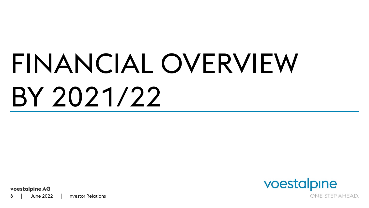# FINANCIAL OVERVIEW BY 2021/22



**voestalpine AG**

June 2022 8 | June 2022 | Investor Relations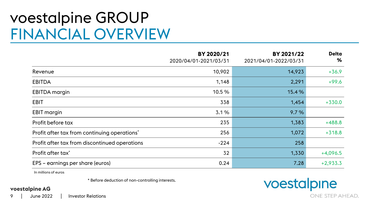#### voestalpine GROUP FINANCIAL OVERVIEW

|                                               | BY 2020/21<br>2020/04/01-2021/03/31 | BY 2021/22<br>2021/04/01-2022/03/31 | <b>Delta</b><br>℅ |
|-----------------------------------------------|-------------------------------------|-------------------------------------|-------------------|
| Revenue                                       | 10,902                              | 14,923                              | $+36.9$           |
| <b>EBITDA</b>                                 | 1,148                               | 2,291                               | $+99.6$           |
| EBITDA margin                                 | 10.5%                               | 15.4%                               |                   |
| EBIT                                          | 338                                 | 1,454                               | $+330.0$          |
| <b>EBIT</b> margin                            | 3.1%                                | 9.7%                                |                   |
| Profit before tax                             | 235                                 | 1,383                               | $+488.8$          |
| Profit after tax from continuing operations*  | 256                                 | 1,072                               | $+318.8$          |
| Profit after tax from discontinued operations | $-224$                              | 258                                 |                   |
| Profit after tax <sup>*</sup>                 | 32                                  | 1,330                               | $+4,096.5$        |
| EPS – earnings per share (euros)              | 0.24                                | 7.28                                | $+2,933.3$        |

In millions of euros

\* Before deduction of non-controlling interests.

#### **voestalpine AG**

ONE STEP AHEAD.

voestalpine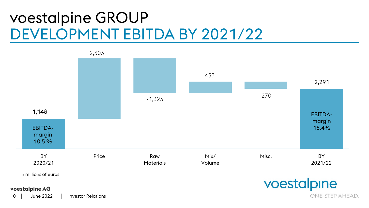#### voestalpine GROUP DEVELOPMENT EBITDA BY 2021/22

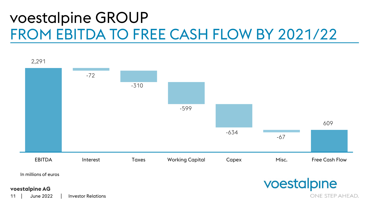### voestalpine GROUP FROM EBITDA TO FREE CASH FLOW BY 2021/22



June 2022 11 June 2022 | Investor Relations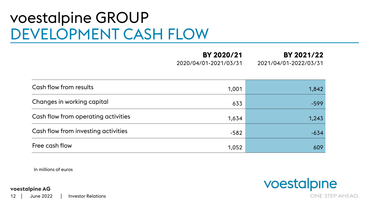#### voestalpine GROUP DEVELOPMENT CASH FLOW

**BY 2020/21** 2020/04/01-2021/03/31 **BY 2021/22** 2021/04/01-2022/03/31

| Cash flow from results              | 1,001  | 1,842  |
|-------------------------------------|--------|--------|
| Changes in working capital          | 633    | $-599$ |
| Cash flow from operating activities | 1,634  | 1,243  |
| Cash flow from investing activities | $-582$ | $-634$ |
| Free cash flow                      | 1,052  | 609    |

In millions of euros

**voestalpine AG**

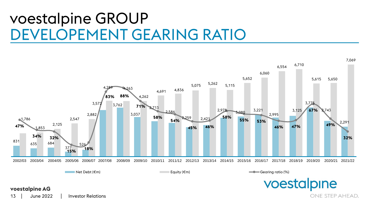#### voestalpine GROUP DEVELOPEMENT GEARING RATIO



#### **voestalpine AG**

June 2022 13 June 2022 l Investor Relations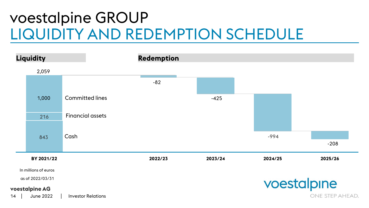### voestalpine GROUP LIQUIDITY AND REDEMPTION SCHEDULE

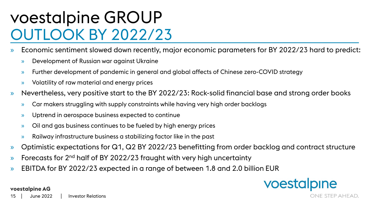### voestalpine GROUP OUTLOOK BY 2022/23

- » Economic sentiment slowed down recently, major economic parameters for BY 2022/23 hard to predict:
	- » Development of Russian war against Ukraine
	- » Further development of pandemic in general and global affects of Chinese zero-COVID strategy
	- » Volatility of raw material and energy prices
- » Nevertheless, very positive start to the BY 2022/23: Rock-solid financial base and strong order books
	- » Car makers struggling with supply constraints while having very high order backlogs
	- » Uptrend in aerospace business expected to continue
	- » Oil and gas business continues to be fueled by high energy prices
	- » Railway infrastructure business a stabilizing factor like in the past
- » Optimistic expectations for Q1, Q2 BY 2022/23 benefitting from order backlog and contract structure
- $\lambda$  Forecasts for 2<sup>nd</sup> half of BY 2022/23 fraught with very high uncertainty
- » EBITDA for BY 2022/23 expected in a range of between 1.8 and 2.0 billion EUR



**voestalpine AG**